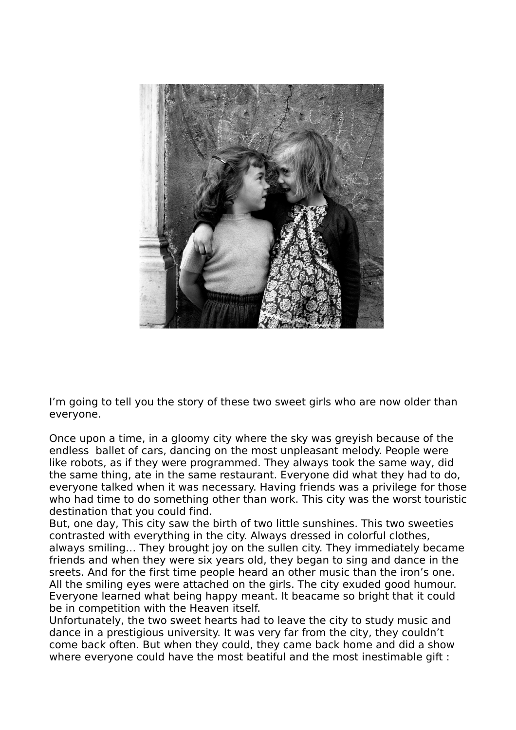

I'm going to tell you the story of these two sweet girls who are now older than everyone.

Once upon a time, in a gloomy city where the sky was greyish because of the endless ballet of cars, dancing on the most unpleasant melody. People were like robots, as if they were programmed. They always took the same way, did the same thing, ate in the same restaurant. Everyone did what they had to do, everyone talked when it was necessary. Having friends was a privilege for those who had time to do something other than work. This city was the worst touristic destination that you could find.

But, one day, This city saw the birth of two little sunshines. This two sweeties contrasted with everything in the city. Always dressed in colorful clothes, always smiling… They brought joy on the sullen city. They immediately became friends and when they were six years old, they began to sing and dance in the sreets. And for the first time people heard an other music than the iron's one. All the smiling eyes were attached on the girls. The city exuded good humour. Everyone learned what being happy meant. It beacame so bright that it could be in competition with the Heaven itself.

Unfortunately, the two sweet hearts had to leave the city to study music and dance in a prestigious university. It was very far from the city, they couldn't come back often. But when they could, they came back home and did a show where everyone could have the most beatiful and the most inestimable gift :